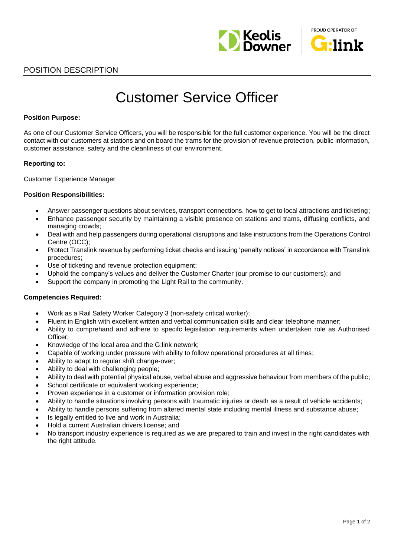



## POSITION DESCRIPTION

# Customer Service Officer

#### **Position Purpose:**

As one of our Customer Service Officers, you will be responsible for the full customer experience. You will be the direct contact with our customers at stations and on board the trams for the provision of revenue protection, public information, customer assistance, safety and the cleanliness of our environment.

#### **Reporting to:**

Customer Experience Manager

#### **Position Responsibilities:**

- Answer passenger questions about services, transport connections, how to get to local attractions and ticketing;
- Enhance passenger security by maintaining a visible presence on stations and trams, diffusing conflicts, and managing crowds;
- Deal with and help passengers during operational disruptions and take instructions from the Operations Control Centre (OCC);
- Protect Translink revenue by performing ticket checks and issuing 'penalty notices' in accordance with Translink procedures;
- Use of ticketing and revenue protection equipment;
- Uphold the company's values and deliver the Customer Charter (our promise to our customers); and
- Support the company in promoting the Light Rail to the community.

#### **Competencies Required:**

- Work as a Rail Safety Worker Category 3 (non-safety critical worker);
- Fluent in English with excellent written and verbal communication skills and clear telephone manner;
- Ability to comprehand and adhere to specifc legisilation requirements when undertaken role as Authorised Officer;
- Knowledge of the local area and the G:link network;
- Capable of working under pressure with ability to follow operational procedures at all times;
- Ability to adapt to regular shift change-over;
- Ability to deal with challenging people;
- Ability to deal with potential physical abuse, verbal abuse and aggressive behaviour from members of the public;
- School certificate or equivalent working experience;
- Proven experience in a customer or information provision role;
- Ability to handle situations involving persons with traumatic injuries or death as a result of vehicle accidents;
- Ability to handle persons suffering from altered mental state including mental illness and substance abuse;
- Is legally entitled to live and work in Australia;
- Hold a current Australian drivers license; and
- No transport industry experience is required as we are prepared to train and invest in the right candidates with the right attitude.